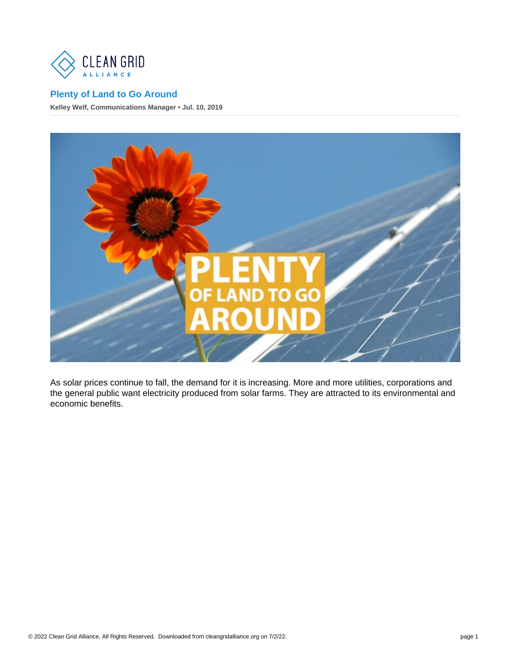## [Plenty of Land to Go Around](https://cleangridalliance.org/blog/110/plenty-of-land-to-go-around)

Kelley Welf, Communications Manager • Jul. 10, 2019

As solar prices continue to fall, the demand for it is increasing. More and more utilities, corporations and the general public want electricity produced from solar farms. They are attracted to its environmental and economic benefits.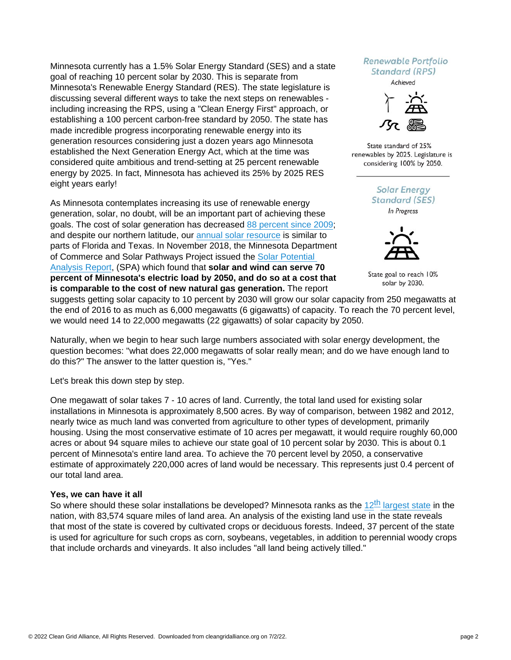Minnesota currently has a 1.5% Solar Energy Standard (SES) and a state goal of reaching 10 percent solar by 2030. This is separate from Minnesota's Renewable Energy Standard (RES). The state legislature is discussing several different ways to take the next steps on renewables including increasing the RPS, using a "Clean Energy First" approach, or establishing a 100 percent carbon-free standard by 2050. The state has made incredible progress incorporating renewable energy into its generation resources considering just a dozen years ago Minnesota established the Next Generation Energy Act, which at the time was considered quite ambitious and trend-setting at 25 percent renewable energy by 2025. In fact, Minnesota has achieved its 25% by 2025 RES eight years early!

As Minnesota contemplates increasing its use of renewable energy generation, solar, no doubt, will be an important part of achieving these goals. The cost of solar generation has decreased [88 percent since 2009](https://www.lazard.com/media/450784/lazards-levelized-cost-of-energy-version-120-vfinal.pdf); and despite our northern latitude, our [annual solar resource](https://mn.gov/commerce/consumers/your-home/energy-info/solar/) is similar to parts of Florida and Texas. In November 2018, the Minnesota Department of Commerce and Solar Pathways Project issued the [Solar Potential](http://mnsolarpathways.org/spa/)  [Analysis Report,](http://mnsolarpathways.org/spa/) (SPA) which found that solar and wind can serve 70 percent of Minnesota's electric load by 2050, and do so at a cost that is comparable to the cost of new natural gas generation. The report suggests getting solar capacity to 10 percent by 2030 will grow our solar capacity from 250 megawatts at the end of 2016 to as much as 6,000 megawatts (6 gigawatts) of capacity. To reach the 70 percent level, we would need 14 to 22,000 megawatts (22 gigawatts) of solar capacity by 2050.

Naturally, when we begin to hear such large numbers associated with solar energy development, the question becomes: "what does 22,000 megawatts of solar really mean; and do we have enough land to do this?" The answer to the latter question is, "Yes."

Let's break this down step by step.

One megawatt of solar takes 7 - 10 acres of land. Currently, the total land used for existing solar installations in Minnesota is approximately 8,500 acres. By way of comparison, between 1982 and 2012, nearly twice as much land was converted from agriculture to other types of development, primarily housing. Using the most conservative estimate of 10 acres per megawatt, it would require roughly 60,000 acres or about 94 square miles to achieve our state goal of 10 percent solar by 2030. This is about 0.1 percent of Minnesota's entire land area. To achieve the 70 percent level by 2050, a conservative estimate of approximately 220,000 acres of land would be necessary. This represents just 0.4 percent of our total land area.

## Yes, we can have it all

So where should [th](https://www.netstate.com/states/geography/mn_geography.htm)ese solar installations be developed? Minnesota ranks as the  $12<sup>th</sup>$  [largest stat](https://www.netstate.com/states/geography/mn_geography.htm)e in the nation, with 83,574 square miles of land area. An analysis of the existing land use in the state reveals that most of the state is covered by cultivated crops or deciduous forests. Indeed, 37 percent of the state is used for agriculture for such crops as corn, soybeans, vegetables, in addition to perennial woody crops that include orchards and vineyards. It also includes "all land being actively tilled."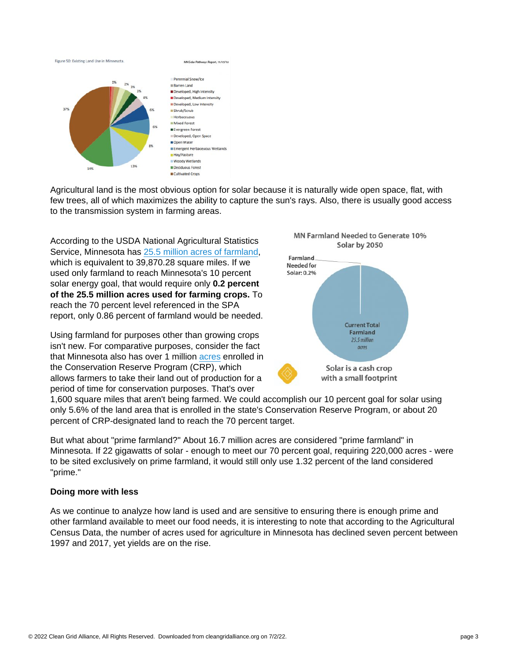Agricultural land is the most obvious option for solar because it is naturally wide open space, flat, with few trees, all of which maximizes the ability to capture the sun's rays. Also, there is usually good access to the transmission system in farming areas.

According to the USDA National Agricultural Statistics Service, Minnesota has [25.5 million acres of farmland](https://www.nass.usda.gov/Publications/AgCensus/2017/Full_Report/Volume_1,_Chapter_1_State_Level/Minnesota/st27_1_0001_0001.pdf), which is equivalent to 39,870.28 square miles. If we used only farmland to reach Minnesota's 10 percent solar energy goal, that would require only 0.2 percent of the 25.5 million acres used for farming crops. To reach the 70 percent level referenced in the SPA report, only 0.86 percent of farmland would be needed.

Using farmland for purposes other than growing crops isn't new. For comparative purposes, consider the fact that Minnesota also has over 1 million [acres](https://www.dnr.state.mn.us/crp/index.html) enrolled in the Conservation Reserve Program (CRP), which allows farmers to take their land out of production for a period of time for conservation purposes. That's over

1,600 square miles that aren't being farmed. We could accomplish our 10 percent goal for solar using only 5.6% of the land area that is enrolled in the state's Conservation Reserve Program, or about 20 percent of CRP-designated land to reach the 70 percent target.

But what about "prime farmland?" About 16.7 million acres are considered "prime farmland" in Minnesota. If 22 gigawatts of solar - enough to meet our 70 percent goal, requiring 220,000 acres - were to be sited exclusively on prime farmland, it would still only use 1.32 percent of the land considered "prime."

## Doing more with less

As we continue to analyze how land is used and are sensitive to ensuring there is enough prime and other farmland available to meet our food needs, it is interesting to note that according to the Agricultural Census Data, the number of acres used for agriculture in Minnesota has declined seven percent between 1997 and 2017, yet yields are on the rise.